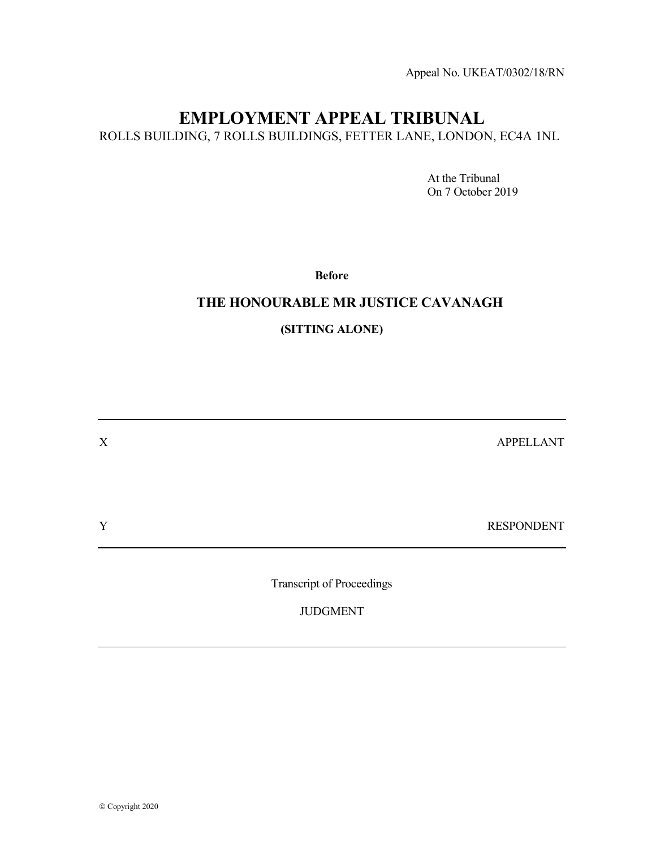Appeal No. UKEAT/0302/18/RN

# EMPLOYMENT APPEAL TRIBUNAL

ROLLS BUILDING, 7 ROLLS BUILDINGS, FETTER LANE, LONDON, EC4A 1NL

 At the Tribunal On 7 October 2019

Before

### THE HONOURABLE MR JUSTICE CAVANAGH

### (SITTING ALONE)

X APPELLANT Y RESPONDENT Transcript of Proceedings JUDGMENT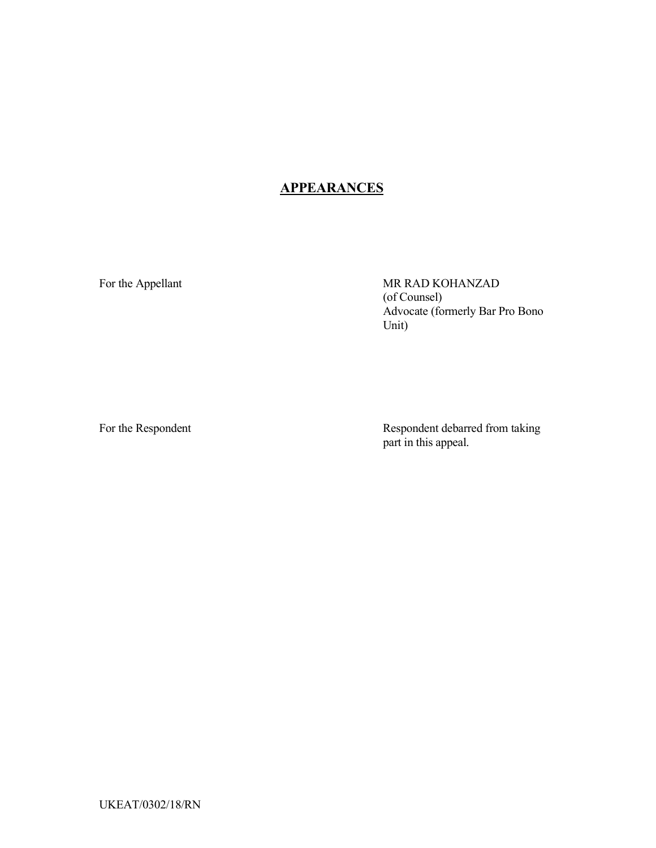## **APPEARANCES**

For the Appellant MR RAD KOHANZAD (of Counsel) Advocate (formerly Bar Pro Bono Unit)

For the Respondent **Respondent** Respondent debarred from taking part in this appeal.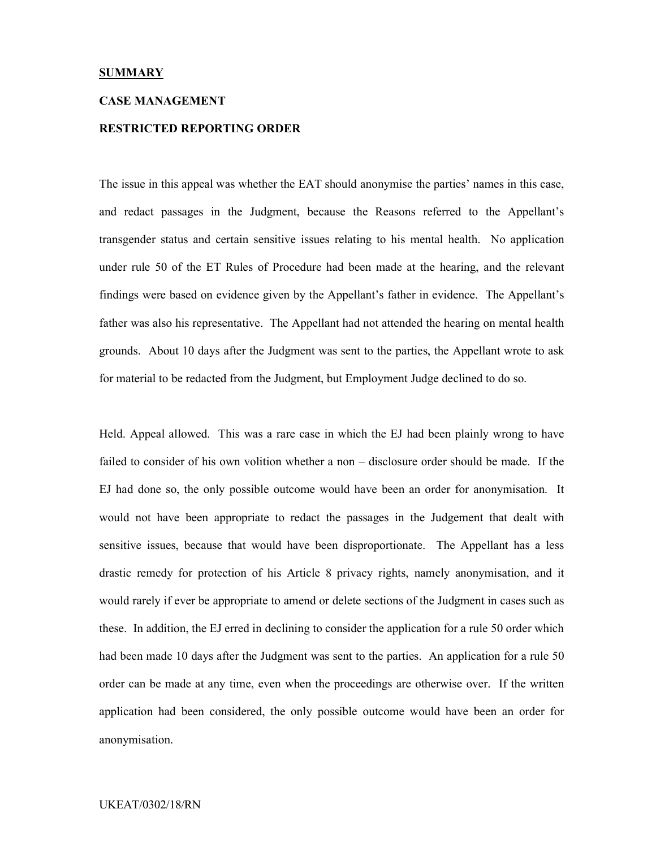#### **SUMMARY**

#### CASE MANAGEMENT

#### RESTRICTED REPORTING ORDER

The issue in this appeal was whether the EAT should anonymise the parties' names in this case, and redact passages in the Judgment, because the Reasons referred to the Appellant's transgender status and certain sensitive issues relating to his mental health. No application under rule 50 of the ET Rules of Procedure had been made at the hearing, and the relevant findings were based on evidence given by the Appellant's father in evidence. The Appellant's father was also his representative. The Appellant had not attended the hearing on mental health grounds. About 10 days after the Judgment was sent to the parties, the Appellant wrote to ask for material to be redacted from the Judgment, but Employment Judge declined to do so.

Held. Appeal allowed. This was a rare case in which the EJ had been plainly wrong to have failed to consider of his own volition whether a non – disclosure order should be made. If the EJ had done so, the only possible outcome would have been an order for anonymisation. It would not have been appropriate to redact the passages in the Judgement that dealt with sensitive issues, because that would have been disproportionate. The Appellant has a less drastic remedy for protection of his Article 8 privacy rights, namely anonymisation, and it would rarely if ever be appropriate to amend or delete sections of the Judgment in cases such as these. In addition, the EJ erred in declining to consider the application for a rule 50 order which had been made 10 days after the Judgment was sent to the parties. An application for a rule 50 order can be made at any time, even when the proceedings are otherwise over. If the written application had been considered, the only possible outcome would have been an order for anonymisation.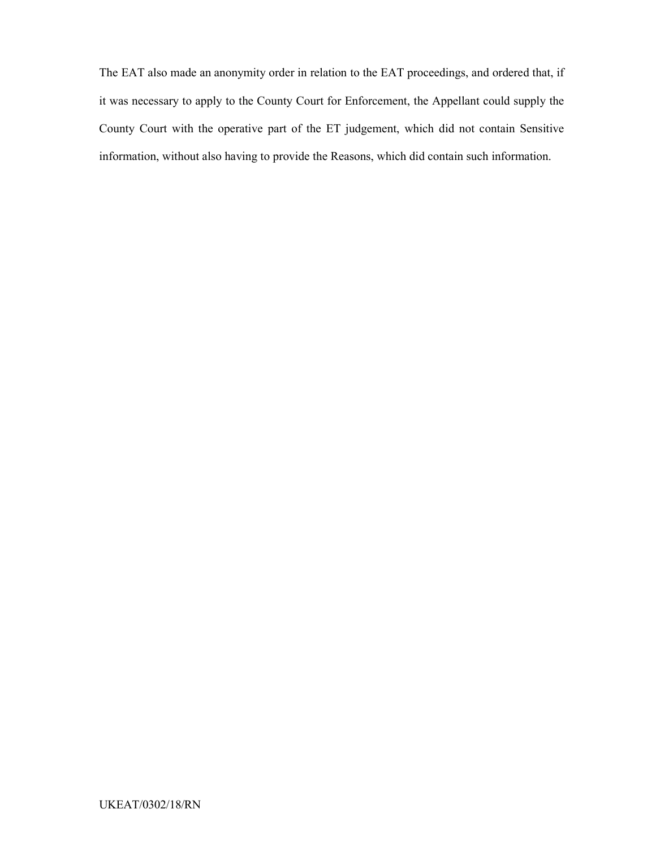The EAT also made an anonymity order in relation to the EAT proceedings, and ordered that, if it was necessary to apply to the County Court for Enforcement, the Appellant could supply the County Court with the operative part of the ET judgement, which did not contain Sensitive information, without also having to provide the Reasons, which did contain such information.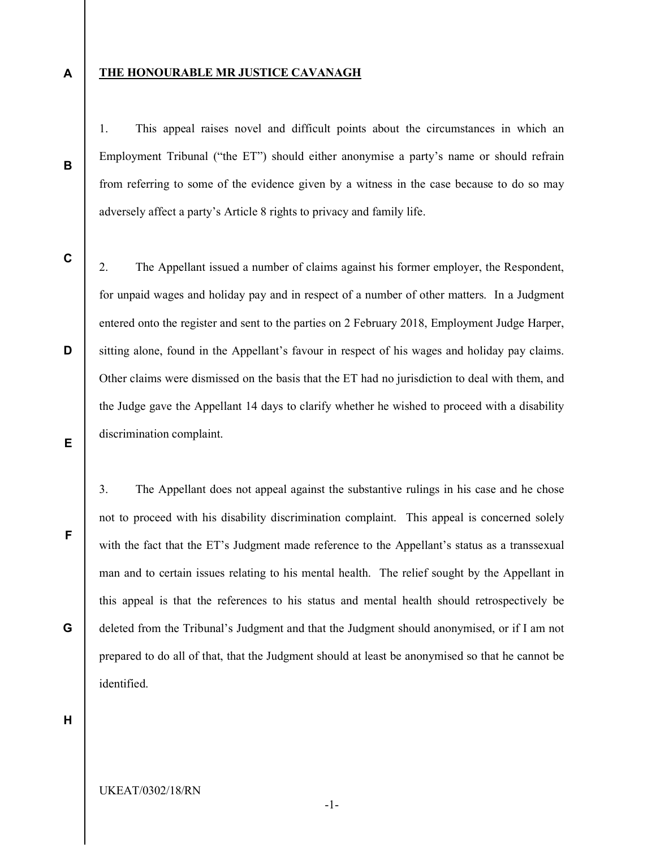A

B

#### THE HONOURABLE MR JUSTICE CAVANAGH

1. This appeal raises novel and difficult points about the circumstances in which an Employment Tribunal ("the ET") should either anonymise a party's name or should refrain from referring to some of the evidence given by a witness in the case because to do so may adversely affect a party's Article 8 rights to privacy and family life.

C

D

E

F

G

2. The Appellant issued a number of claims against his former employer, the Respondent, for unpaid wages and holiday pay and in respect of a number of other matters. In a Judgment entered onto the register and sent to the parties on 2 February 2018, Employment Judge Harper, sitting alone, found in the Appellant's favour in respect of his wages and holiday pay claims. Other claims were dismissed on the basis that the ET had no jurisdiction to deal with them, and the Judge gave the Appellant 14 days to clarify whether he wished to proceed with a disability discrimination complaint.

3. The Appellant does not appeal against the substantive rulings in his case and he chose not to proceed with his disability discrimination complaint. This appeal is concerned solely with the fact that the ET's Judgment made reference to the Appellant's status as a transsexual man and to certain issues relating to his mental health. The relief sought by the Appellant in this appeal is that the references to his status and mental health should retrospectively be deleted from the Tribunal's Judgment and that the Judgment should anonymised, or if I am not prepared to do all of that, that the Judgment should at least be anonymised so that he cannot be identified.

H

-1-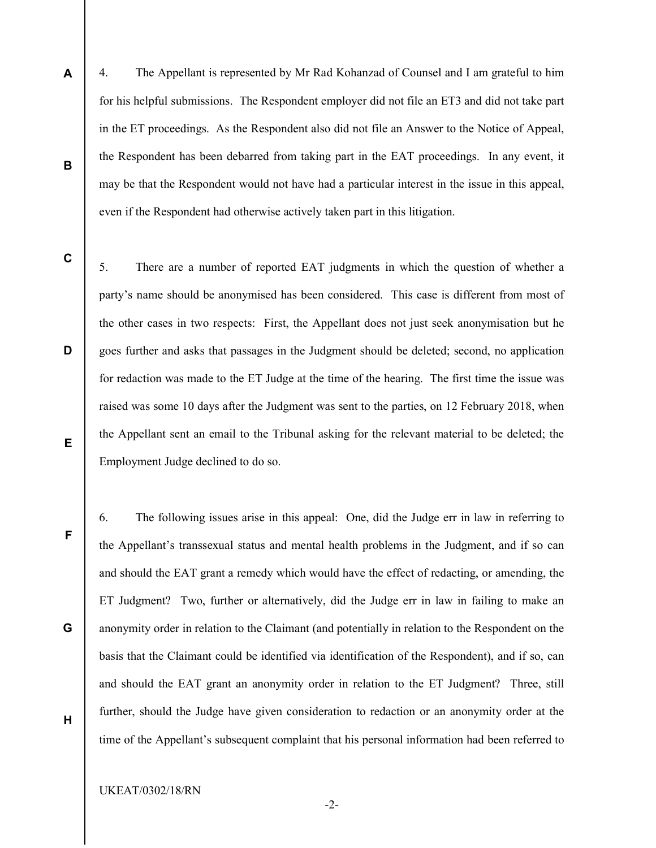- 4. The Appellant is represented by Mr Rad Kohanzad of Counsel and I am grateful to him for his helpful submissions. The Respondent employer did not file an ET3 and did not take part in the ET proceedings. As the Respondent also did not file an Answer to the Notice of Appeal, the Respondent has been debarred from taking part in the EAT proceedings. In any event, it may be that the Respondent would not have had a particular interest in the issue in this appeal, even if the Respondent had otherwise actively taken part in this litigation.
- C

D

E

F

G

H

A

B

5. There are a number of reported EAT judgments in which the question of whether a party's name should be anonymised has been considered. This case is different from most of the other cases in two respects: First, the Appellant does not just seek anonymisation but he goes further and asks that passages in the Judgment should be deleted; second, no application for redaction was made to the ET Judge at the time of the hearing. The first time the issue was raised was some 10 days after the Judgment was sent to the parties, on 12 February 2018, when the Appellant sent an email to the Tribunal asking for the relevant material to be deleted; the Employment Judge declined to do so.

6. The following issues arise in this appeal: One, did the Judge err in law in referring to the Appellant's transsexual status and mental health problems in the Judgment, and if so can and should the EAT grant a remedy which would have the effect of redacting, or amending, the ET Judgment? Two, further or alternatively, did the Judge err in law in failing to make an anonymity order in relation to the Claimant (and potentially in relation to the Respondent on the basis that the Claimant could be identified via identification of the Respondent), and if so, can and should the EAT grant an anonymity order in relation to the ET Judgment? Three, still further, should the Judge have given consideration to redaction or an anonymity order at the time of the Appellant's subsequent complaint that his personal information had been referred to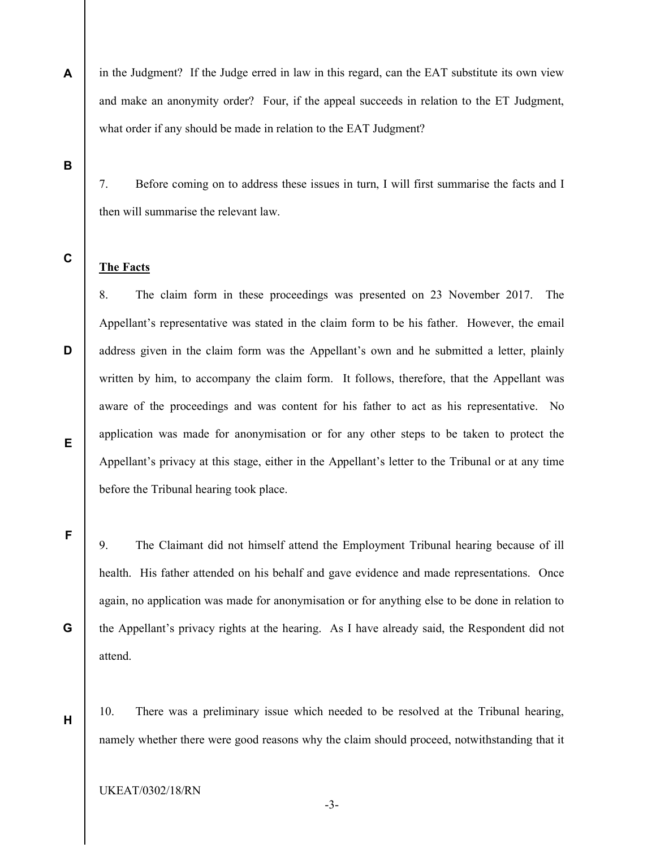in the Judgment? If the Judge erred in law in this regard, can the EAT substitute its own view and make an anonymity order? Four, if the appeal succeeds in relation to the ET Judgment, what order if any should be made in relation to the EAT Judgment?

B

A

7. Before coming on to address these issues in turn, I will first summarise the facts and I then will summarise the relevant law.

C

### The Facts

8. The claim form in these proceedings was presented on 23 November 2017. The Appellant's representative was stated in the claim form to be his father. However, the email address given in the claim form was the Appellant's own and he submitted a letter, plainly written by him, to accompany the claim form. It follows, therefore, that the Appellant was aware of the proceedings and was content for his father to act as his representative. No application was made for anonymisation or for any other steps to be taken to protect the Appellant's privacy at this stage, either in the Appellant's letter to the Tribunal or at any time before the Tribunal hearing took place.

E

D

F

G

H

9. The Claimant did not himself attend the Employment Tribunal hearing because of ill health. His father attended on his behalf and gave evidence and made representations. Once again, no application was made for anonymisation or for anything else to be done in relation to the Appellant's privacy rights at the hearing. As I have already said, the Respondent did not attend.

10. There was a preliminary issue which needed to be resolved at the Tribunal hearing, namely whether there were good reasons why the claim should proceed, notwithstanding that it

-3-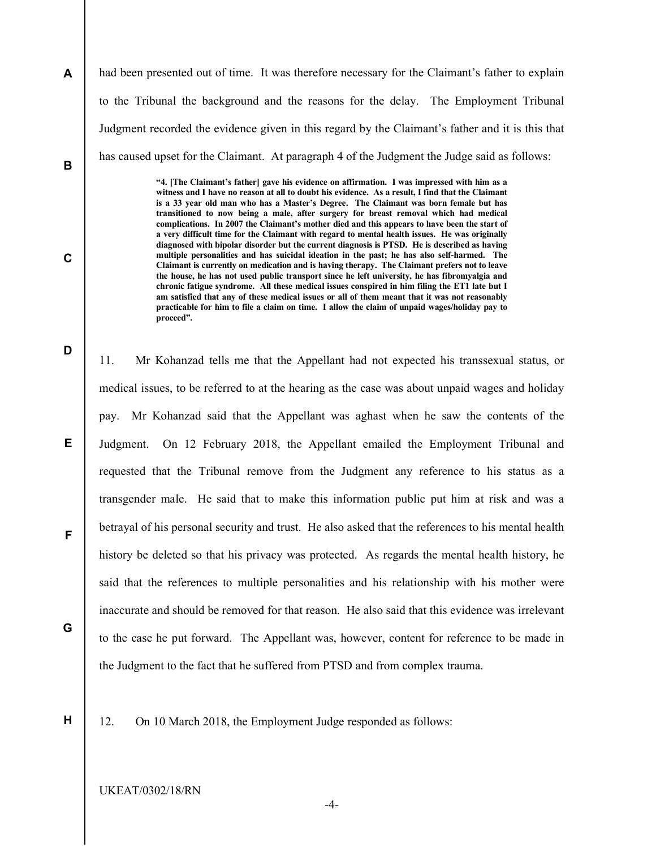A B had been presented out of time. It was therefore necessary for the Claimant's father to explain to the Tribunal the background and the reasons for the delay. The Employment Tribunal Judgment recorded the evidence given in this regard by the Claimant's father and it is this that has caused upset for the Claimant. At paragraph 4 of the Judgment the Judge said as follows:

> "4. [The Claimant's father] gave his evidence on affirmation. I was impressed with him as a witness and I have no reason at all to doubt his evidence. As a result, I find that the Claimant is a 33 year old man who has a Master's Degree. The Claimant was born female but has transitioned to now being a male, after surgery for breast removal which had medical complications. In 2007 the Claimant's mother died and this appears to have been the start of a very difficult time for the Claimant with regard to mental health issues. He was originally diagnosed with bipolar disorder but the current diagnosis is PTSD. He is described as having multiple personalities and has suicidal ideation in the past; he has also self-harmed. The Claimant is currently on medication and is having therapy. The Claimant prefers not to leave the house, he has not used public transport since he left university, he has fibromyalgia and chronic fatigue syndrome. All these medical issues conspired in him filing the ET1 late but I am satisfied that any of these medical issues or all of them meant that it was not reasonably practicable for him to file a claim on time. I allow the claim of unpaid wages/holiday pay to proceed".

11. Mr Kohanzad tells me that the Appellant had not expected his transsexual status, or medical issues, to be referred to at the hearing as the case was about unpaid wages and holiday pay. Mr Kohanzad said that the Appellant was aghast when he saw the contents of the Judgment. On 12 February 2018, the Appellant emailed the Employment Tribunal and requested that the Tribunal remove from the Judgment any reference to his status as a transgender male. He said that to make this information public put him at risk and was a betrayal of his personal security and trust. He also asked that the references to his mental health history be deleted so that his privacy was protected. As regards the mental health history, he said that the references to multiple personalities and his relationship with his mother were inaccurate and should be removed for that reason. He also said that this evidence was irrelevant to the case he put forward. The Appellant was, however, content for reference to be made in the Judgment to the fact that he suffered from PTSD and from complex trauma.

H

G

C

D

E

F

12. On 10 March 2018, the Employment Judge responded as follows:

UKEAT/0302/18/RN

-4-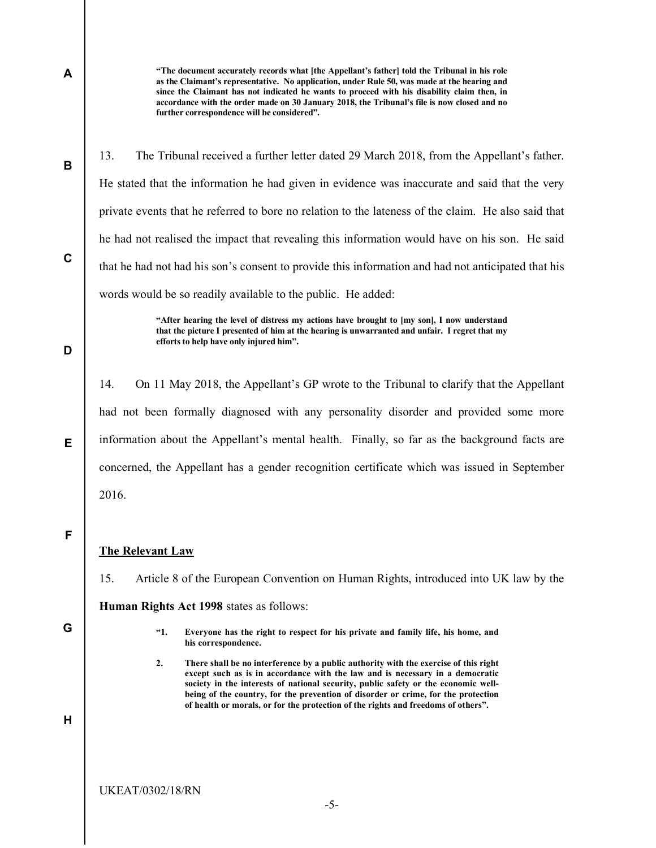"The document accurately records what [the Appellant's father] told the Tribunal in his role as the Claimant's representative. No application, under Rule 50, was made at the hearing and since the Claimant has not indicated he wants to proceed with his disability claim then, in accordance with the order made on 30 January 2018, the Tribunal's file is now closed and no further correspondence will be considered".

13. The Tribunal received a further letter dated 29 March 2018, from the Appellant's father. He stated that the information he had given in evidence was inaccurate and said that the very private events that he referred to bore no relation to the lateness of the claim. He also said that he had not realised the impact that revealing this information would have on his son. He said that he had not had his son's consent to provide this information and had not anticipated that his words would be so readily available to the public. He added:

> "After hearing the level of distress my actions have brought to [my son], I now understand that the picture I presented of him at the hearing is unwarranted and unfair. I regret that my efforts to help have only injured him".

14. On 11 May 2018, the Appellant's GP wrote to the Tribunal to clarify that the Appellant had not been formally diagnosed with any personality disorder and provided some more information about the Appellant's mental health. Finally, so far as the background facts are concerned, the Appellant has a gender recognition certificate which was issued in September 2016.

F

E

A

B

C

D

### The Relevant Law

15. Article 8 of the European Convention on Human Rights, introduced into UK law by the

Human Rights Act 1998 states as follows:

G

- "1. Everyone has the right to respect for his private and family life, his home, and his correspondence.
- 2. There shall be no interference by a public authority with the exercise of this right except such as is in accordance with the law and is necessary in a democratic society in the interests of national security, public safety or the economic wellbeing of the country, for the prevention of disorder or crime, for the protection of health or morals, or for the protection of the rights and freedoms of others".

H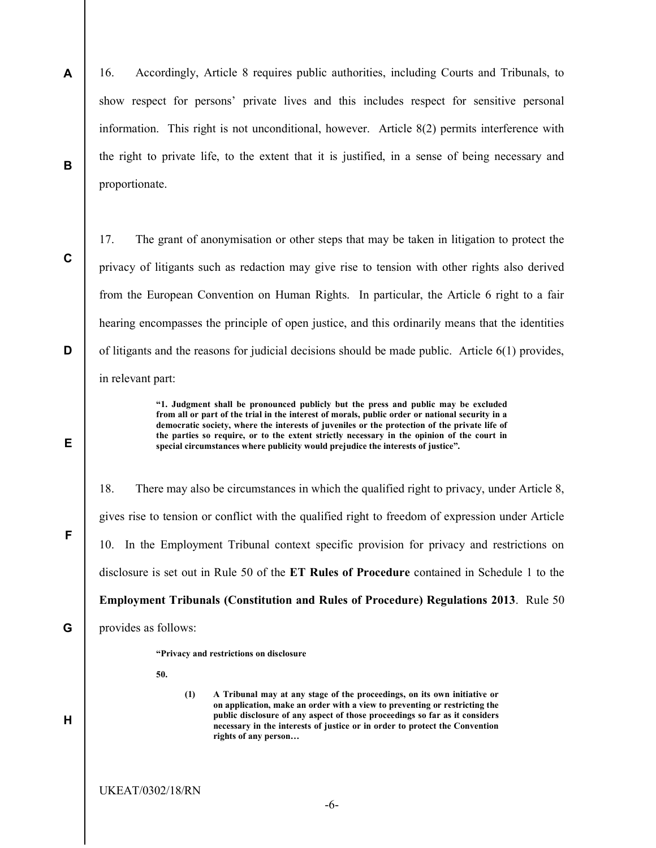A B 16. Accordingly, Article 8 requires public authorities, including Courts and Tribunals, to show respect for persons' private lives and this includes respect for sensitive personal information. This right is not unconditional, however. Article 8(2) permits interference with the right to private life, to the extent that it is justified, in a sense of being necessary and proportionate.

C

D

E

F

G

H

17. The grant of anonymisation or other steps that may be taken in litigation to protect the privacy of litigants such as redaction may give rise to tension with other rights also derived from the European Convention on Human Rights. In particular, the Article 6 right to a fair hearing encompasses the principle of open justice, and this ordinarily means that the identities of litigants and the reasons for judicial decisions should be made public. Article  $6(1)$  provides, in relevant part:

> "1. Judgment shall be pronounced publicly but the press and public may be excluded from all or part of the trial in the interest of morals, public order or national security in a democratic society, where the interests of juveniles or the protection of the private life of the parties so require, or to the extent strictly necessary in the opinion of the court in special circumstances where publicity would prejudice the interests of justice".

18. There may also be circumstances in which the qualified right to privacy, under Article 8, gives rise to tension or conflict with the qualified right to freedom of expression under Article 10. In the Employment Tribunal context specific provision for privacy and restrictions on disclosure is set out in Rule 50 of the ET Rules of Procedure contained in Schedule 1 to the Employment Tribunals (Constitution and Rules of Procedure) Regulations 2013. Rule 50 provides as follows: "Privacy and restrictions on disclosure 50.

> (1) A Tribunal may at any stage of the proceedings, on its own initiative or on application, make an order with a view to preventing or restricting the public disclosure of any aspect of those proceedings so far as it considers necessary in the interests of justice or in order to protect the Convention rights of any person…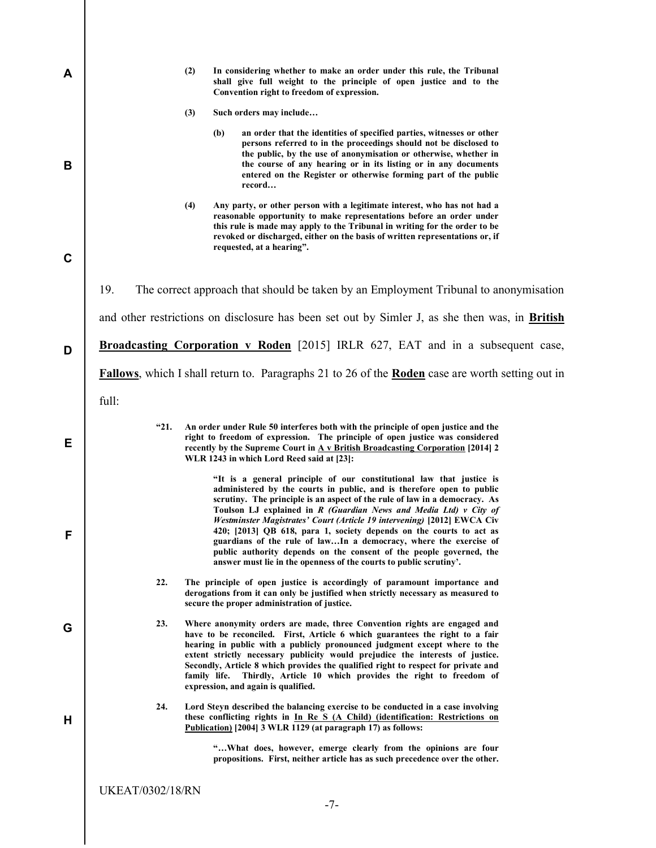|       |                | In considering whether to make an order under this rule, the Tribunal<br>(2)<br>shall give full weight to the principle of open justice and to the<br>Convention right to freedom of expression.                                                                                                                                                                                                                                                                                                                                                                                                                                                                     |
|-------|----------------|----------------------------------------------------------------------------------------------------------------------------------------------------------------------------------------------------------------------------------------------------------------------------------------------------------------------------------------------------------------------------------------------------------------------------------------------------------------------------------------------------------------------------------------------------------------------------------------------------------------------------------------------------------------------|
|       |                | (3)<br>Such orders may include                                                                                                                                                                                                                                                                                                                                                                                                                                                                                                                                                                                                                                       |
|       |                | an order that the identities of specified parties, witnesses or other<br>(b)<br>persons referred to in the proceedings should not be disclosed to<br>the public, by the use of anonymisation or otherwise, whether in<br>the course of any hearing or in its listing or in any documents<br>entered on the Register or otherwise forming part of the public<br>record                                                                                                                                                                                                                                                                                                |
|       |                | (4)<br>Any party, or other person with a legitimate interest, who has not had a<br>reasonable opportunity to make representations before an order under<br>this rule is made may apply to the Tribunal in writing for the order to be<br>revoked or discharged, either on the basis of written representations or, if<br>requested, at a hearing".                                                                                                                                                                                                                                                                                                                   |
| 19.   |                | The correct approach that should be taken by an Employment Tribunal to anonymisation                                                                                                                                                                                                                                                                                                                                                                                                                                                                                                                                                                                 |
|       |                | and other restrictions on disclosure has been set out by Simler J, as she then was, in British                                                                                                                                                                                                                                                                                                                                                                                                                                                                                                                                                                       |
|       |                | Broadcasting Corporation v Roden [2015] IRLR 627, EAT and in a subsequent case,                                                                                                                                                                                                                                                                                                                                                                                                                                                                                                                                                                                      |
|       |                |                                                                                                                                                                                                                                                                                                                                                                                                                                                                                                                                                                                                                                                                      |
|       |                |                                                                                                                                                                                                                                                                                                                                                                                                                                                                                                                                                                                                                                                                      |
|       |                | <b>Fallows</b> , which I shall return to. Paragraphs 21 to 26 of the <b>Roden</b> case are worth setting out in                                                                                                                                                                                                                                                                                                                                                                                                                                                                                                                                                      |
| full: |                |                                                                                                                                                                                                                                                                                                                                                                                                                                                                                                                                                                                                                                                                      |
|       | <sup>"21</sup> | An order under Rule 50 interferes both with the principle of open justice and the<br>right to freedom of expression. The principle of open justice was considered<br>recently by the Supreme Court in A v British Broadcasting Corporation [2014] 2<br>WLR 1243 in which Lord Reed said at [23]:                                                                                                                                                                                                                                                                                                                                                                     |
|       |                | "It is a general principle of our constitutional law that justice is<br>administered by the courts in public, and is therefore open to public<br>scrutiny. The principle is an aspect of the rule of law in a democracy. As<br>Toulson LJ explained in R (Guardian News and Media Ltd) v City of<br>Westminster Magistrates' Court (Article 19 intervening) [2012] EWCA Civ<br>420; [2013] QB 618, para 1, society depends on the courts to act as<br>guardians of the rule of lawIn a democracy, where the exercise of<br>public authority depends on the consent of the people governed, the<br>answer must lie in the openness of the courts to public scrutiny'. |
|       | 22.            | The principle of open justice is accordingly of paramount importance and<br>derogations from it can only be justified when strictly necessary as measured to<br>secure the proper administration of justice.                                                                                                                                                                                                                                                                                                                                                                                                                                                         |
|       | 23.            | Where anonymity orders are made, three Convention rights are engaged and<br>have to be reconciled. First, Article 6 which guarantees the right to a fair<br>hearing in public with a publicly pronounced judgment except where to the<br>extent strictly necessary publicity would prejudice the interests of justice.<br>Secondly, Article 8 which provides the qualified right to respect for private and<br>family life. Thirdly, Article 10 which provides the right to freedom of<br>expression, and again is qualified.                                                                                                                                        |
|       | 24.            | Lord Steyn described the balancing exercise to be conducted in a case involving<br>these conflicting rights in In Re S (A Child) (identification: Restrictions on<br>Publication) [2004] 3 WLR 1129 (at paragraph 17) as follows:                                                                                                                                                                                                                                                                                                                                                                                                                                    |

### -7-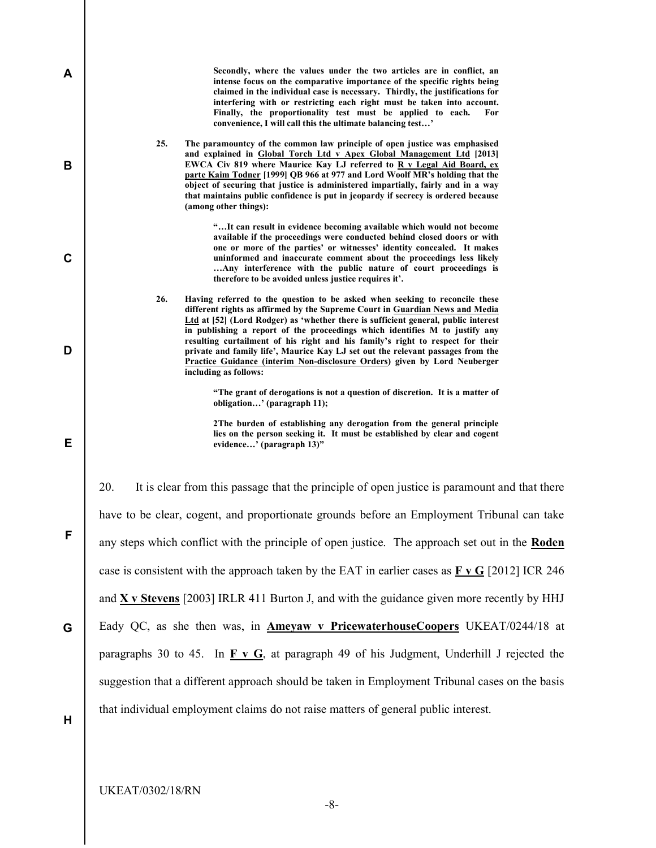| A           | Secondly, where the values under the two articles are in conflict, an<br>intense focus on the comparative importance of the specific rights being<br>claimed in the individual case is necessary. Thirdly, the justifications for<br>interfering with or restricting each right must be taken into account.<br>Finally, the proportionality test must be applied to each.<br>For<br>convenience, I will call this the ultimate balancing test'                                                                                                                                                                     |
|-------------|--------------------------------------------------------------------------------------------------------------------------------------------------------------------------------------------------------------------------------------------------------------------------------------------------------------------------------------------------------------------------------------------------------------------------------------------------------------------------------------------------------------------------------------------------------------------------------------------------------------------|
| B           | 25.<br>The paramountcy of the common law principle of open justice was emphasised<br>and explained in Global Torch Ltd v Apex Global Management Ltd [2013]<br>EWCA Civ 819 where Maurice Kay LJ referred to R v Legal Aid Board, ex<br>parte Kaim Todner [1999] QB 966 at 977 and Lord Woolf MR's holding that the<br>object of securing that justice is administered impartially, fairly and in a way<br>that maintains public confidence is put in jeopardy if secrecy is ordered because<br>(among other things):                                                                                               |
| $\mathbf C$ | "It can result in evidence becoming available which would not become<br>available if the proceedings were conducted behind closed doors or with<br>one or more of the parties' or witnesses' identity concealed. It makes<br>uninformed and inaccurate comment about the proceedings less likely<br>Any interference with the public nature of court proceedings is<br>therefore to be avoided unless justice requires it'.                                                                                                                                                                                        |
| D           | 26.<br>Having referred to the question to be asked when seeking to reconcile these<br>different rights as affirmed by the Supreme Court in Guardian News and Media<br>Ltd at [52] (Lord Rodger) as 'whether there is sufficient general, public interest<br>in publishing a report of the proceedings which identifies M to justify any<br>resulting curtailment of his right and his family's right to respect for their<br>private and family life', Maurice Kay LJ set out the relevant passages from the<br>Practice Guidance (interim Non-disclosure Orders) given by Lord Neuberger<br>including as follows: |
|             | "The grant of derogations is not a question of discretion. It is a matter of<br>obligation' (paragraph 11);                                                                                                                                                                                                                                                                                                                                                                                                                                                                                                        |
| Е           | 2The burden of establishing any derogation from the general principle<br>lies on the person seeking it. It must be established by clear and cogent<br>evidence' (paragraph 13)"                                                                                                                                                                                                                                                                                                                                                                                                                                    |
|             | 20.<br>It is clear from this passage that the principle of open justice is paramount and that there                                                                                                                                                                                                                                                                                                                                                                                                                                                                                                                |
|             | have to be clear, cogent, and proportionate grounds before an Employment Tribunal can take                                                                                                                                                                                                                                                                                                                                                                                                                                                                                                                         |
| F           | any steps which conflict with the principle of open justice. The approach set out in the Roden                                                                                                                                                                                                                                                                                                                                                                                                                                                                                                                     |
|             | case is consistent with the approach taken by the EAT in earlier cases as $\bf{F} \times \bf{G}$ [2012] ICR 246                                                                                                                                                                                                                                                                                                                                                                                                                                                                                                    |
|             | and $X \, y$ Stevens [2003] IRLR 411 Burton J, and with the guidance given more recently by HHJ                                                                                                                                                                                                                                                                                                                                                                                                                                                                                                                    |
| G           | Eady QC, as she then was, in <b>Ameyaw v PricewaterhouseCoopers</b> UKEAT/0244/18 at                                                                                                                                                                                                                                                                                                                                                                                                                                                                                                                               |
|             | paragraphs 30 to 45. In $\overline{F}$ v G, at paragraph 49 of his Judgment, Underhill J rejected the                                                                                                                                                                                                                                                                                                                                                                                                                                                                                                              |
|             | suggestion that a different approach should be taken in Employment Tribunal cases on the basis                                                                                                                                                                                                                                                                                                                                                                                                                                                                                                                     |
| Н           | that individual employment claims do not raise matters of general public interest.                                                                                                                                                                                                                                                                                                                                                                                                                                                                                                                                 |
|             |                                                                                                                                                                                                                                                                                                                                                                                                                                                                                                                                                                                                                    |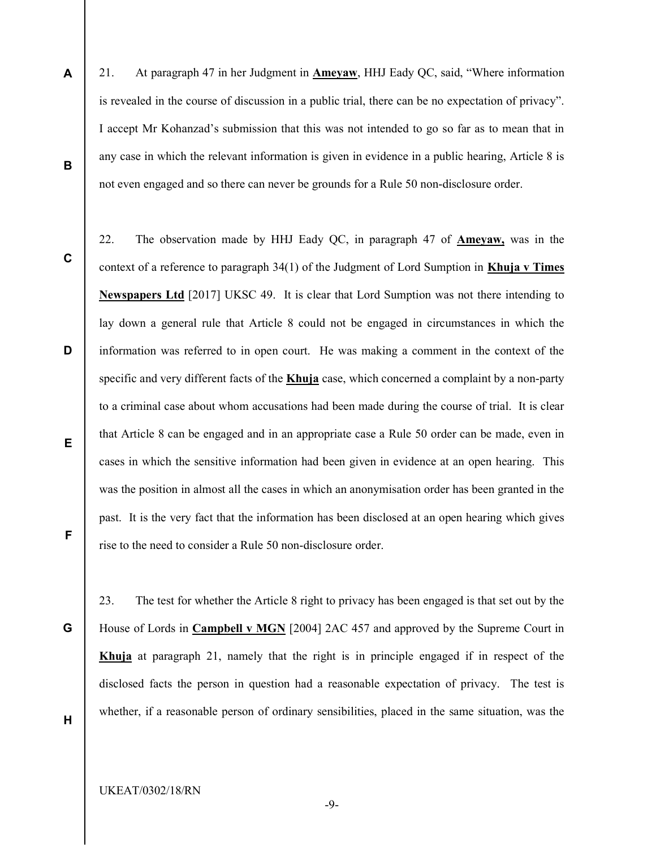- 21. At paragraph 47 in her Judgment in Ameyaw, HHJ Eady QC, said, "Where information is revealed in the course of discussion in a public trial, there can be no expectation of privacy". I accept Mr Kohanzad's submission that this was not intended to go so far as to mean that in any case in which the relevant information is given in evidence in a public hearing, Article 8 is not even engaged and so there can never be grounds for a Rule 50 non-disclosure order.
- C

D

B

A

22. The observation made by HHJ Eady QC, in paragraph 47 of Ameyaw, was in the context of a reference to paragraph 34(1) of the Judgment of Lord Sumption in Khuja v Times Newspapers Ltd [2017] UKSC 49. It is clear that Lord Sumption was not there intending to lay down a general rule that Article 8 could not be engaged in circumstances in which the information was referred to in open court. He was making a comment in the context of the specific and very different facts of the Khuja case, which concerned a complaint by a non-party to a criminal case about whom accusations had been made during the course of trial. It is clear that Article 8 can be engaged and in an appropriate case a Rule 50 order can be made, even in cases in which the sensitive information had been given in evidence at an open hearing. This was the position in almost all the cases in which an anonymisation order has been granted in the past. It is the very fact that the information has been disclosed at an open hearing which gives rise to the need to consider a Rule 50 non-disclosure order.

F

E

G

23. The test for whether the Article 8 right to privacy has been engaged is that set out by the House of Lords in Campbell v MGN [2004] 2AC 457 and approved by the Supreme Court in Khuja at paragraph 21, namely that the right is in principle engaged if in respect of the disclosed facts the person in question had a reasonable expectation of privacy. The test is whether, if a reasonable person of ordinary sensibilities, placed in the same situation, was the

H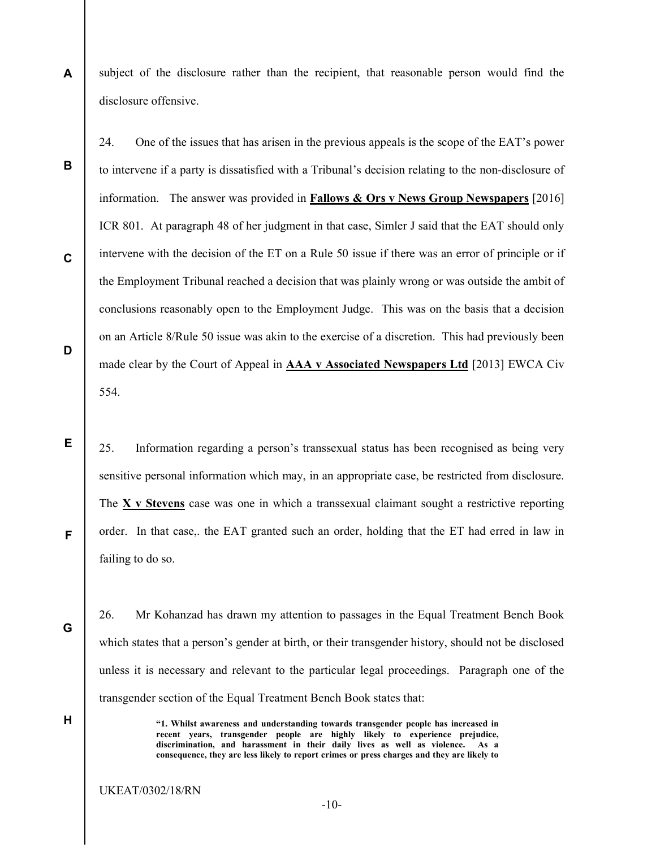A subject of the disclosure rather than the recipient, that reasonable person would find the disclosure offensive.

24. One of the issues that has arisen in the previous appeals is the scope of the EAT's power to intervene if a party is dissatisfied with a Tribunal's decision relating to the non-disclosure of information. The answer was provided in Fallows & Ors v News Group Newspapers [2016] ICR 801. At paragraph 48 of her judgment in that case, Simler J said that the EAT should only intervene with the decision of the ET on a Rule 50 issue if there was an error of principle or if the Employment Tribunal reached a decision that was plainly wrong or was outside the ambit of conclusions reasonably open to the Employment Judge. This was on the basis that a decision on an Article 8/Rule 50 issue was akin to the exercise of a discretion. This had previously been made clear by the Court of Appeal in AAA v Associated Newspapers Ltd [2013] EWCA Civ 554.

25. Information regarding a person's transsexual status has been recognised as being very sensitive personal information which may, in an appropriate case, be restricted from disclosure. The X v Stevens case was one in which a transsexual claimant sought a restrictive reporting order. In that case,. the EAT granted such an order, holding that the ET had erred in law in failing to do so.

G

H

B

C

D

E

F

26. Mr Kohanzad has drawn my attention to passages in the Equal Treatment Bench Book which states that a person's gender at birth, or their transgender history, should not be disclosed unless it is necessary and relevant to the particular legal proceedings. Paragraph one of the transgender section of the Equal Treatment Bench Book states that:

> "1. Whilst awareness and understanding towards transgender people has increased in recent years, transgender people are highly likely to experience prejudice, discrimination, and harassment in their daily lives as well as violence. As a consequence, they are less likely to report crimes or press charges and they are likely to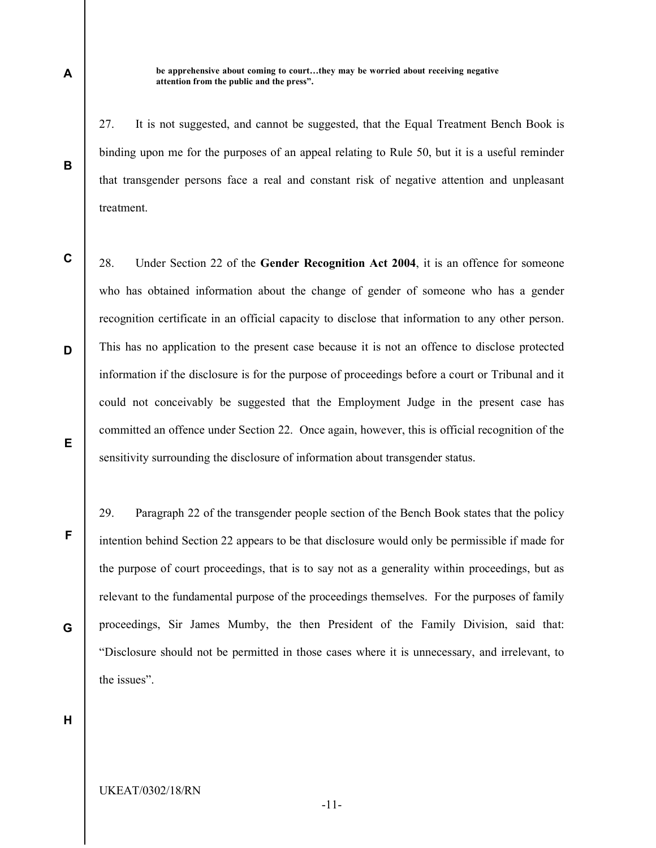be apprehensive about coming to court…they may be worried about receiving negative attention from the public and the press".

27. It is not suggested, and cannot be suggested, that the Equal Treatment Bench Book is binding upon me for the purposes of an appeal relating to Rule 50, but it is a useful reminder that transgender persons face a real and constant risk of negative attention and unpleasant treatment.

C E 28. Under Section 22 of the Gender Recognition Act 2004, it is an offence for someone who has obtained information about the change of gender of someone who has a gender recognition certificate in an official capacity to disclose that information to any other person. This has no application to the present case because it is not an offence to disclose protected information if the disclosure is for the purpose of proceedings before a court or Tribunal and it could not conceivably be suggested that the Employment Judge in the present case has committed an offence under Section 22. Once again, however, this is official recognition of the sensitivity surrounding the disclosure of information about transgender status.

29. Paragraph 22 of the transgender people section of the Bench Book states that the policy intention behind Section 22 appears to be that disclosure would only be permissible if made for the purpose of court proceedings, that is to say not as a generality within proceedings, but as relevant to the fundamental purpose of the proceedings themselves. For the purposes of family proceedings, Sir James Mumby, the then President of the Family Division, said that: "Disclosure should not be permitted in those cases where it is unnecessary, and irrelevant, to the issues".

-11-

H

#### UKEAT/0302/18/RN

B

A

D

F

G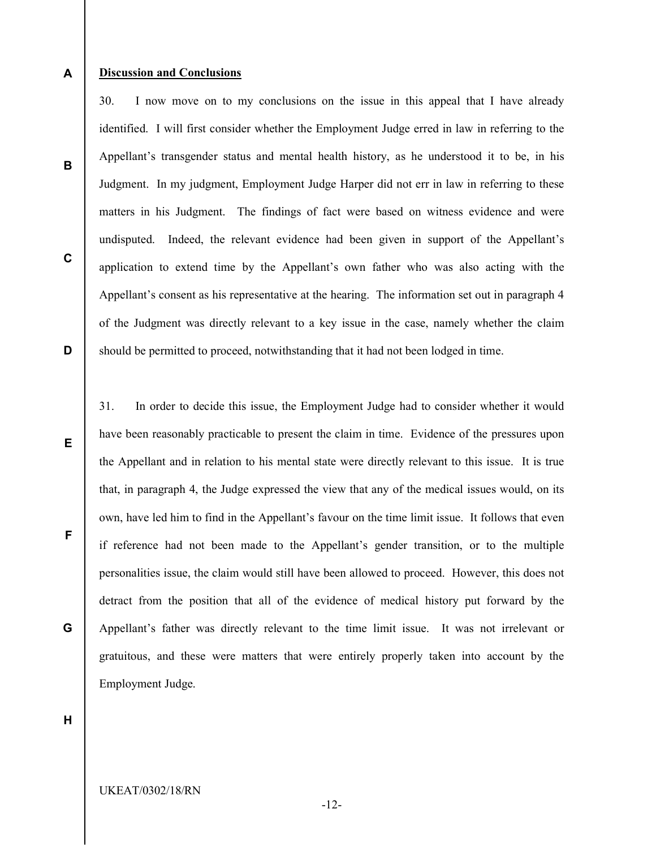#### A Discussion and Conclusions

B

C

D

E

F

G

30. I now move on to my conclusions on the issue in this appeal that I have already identified. I will first consider whether the Employment Judge erred in law in referring to the Appellant's transgender status and mental health history, as he understood it to be, in his Judgment. In my judgment, Employment Judge Harper did not err in law in referring to these matters in his Judgment. The findings of fact were based on witness evidence and were undisputed. Indeed, the relevant evidence had been given in support of the Appellant's application to extend time by the Appellant's own father who was also acting with the Appellant's consent as his representative at the hearing. The information set out in paragraph 4 of the Judgment was directly relevant to a key issue in the case, namely whether the claim should be permitted to proceed, notwithstanding that it had not been lodged in time.

31. In order to decide this issue, the Employment Judge had to consider whether it would have been reasonably practicable to present the claim in time. Evidence of the pressures upon the Appellant and in relation to his mental state were directly relevant to this issue. It is true that, in paragraph 4, the Judge expressed the view that any of the medical issues would, on its own, have led him to find in the Appellant's favour on the time limit issue. It follows that even if reference had not been made to the Appellant's gender transition, or to the multiple personalities issue, the claim would still have been allowed to proceed. However, this does not detract from the position that all of the evidence of medical history put forward by the Appellant's father was directly relevant to the time limit issue. It was not irrelevant or gratuitous, and these were matters that were entirely properly taken into account by the Employment Judge.

H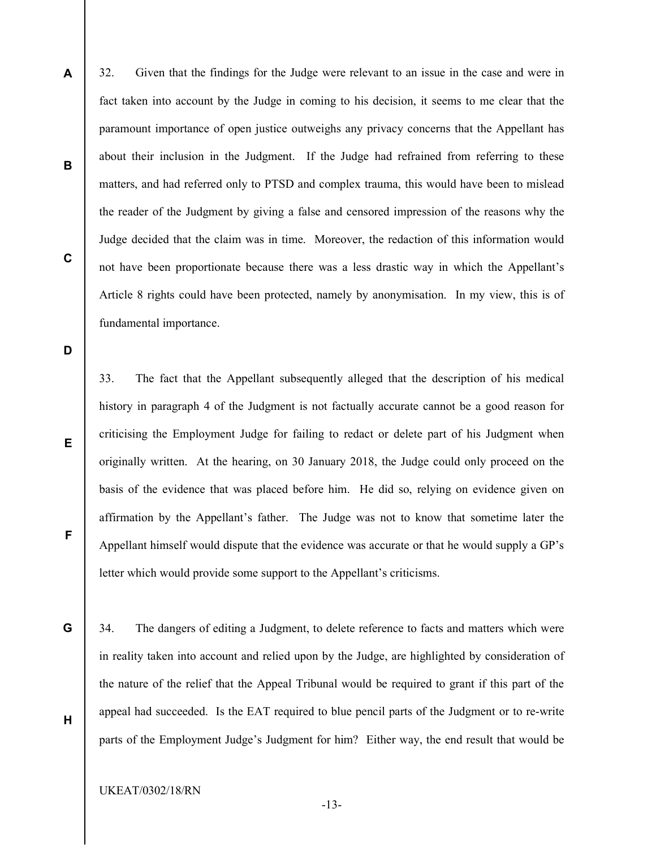32. Given that the findings for the Judge were relevant to an issue in the case and were in fact taken into account by the Judge in coming to his decision, it seems to me clear that the paramount importance of open justice outweighs any privacy concerns that the Appellant has about their inclusion in the Judgment. If the Judge had refrained from referring to these matters, and had referred only to PTSD and complex trauma, this would have been to mislead the reader of the Judgment by giving a false and censored impression of the reasons why the Judge decided that the claim was in time. Moreover, the redaction of this information would not have been proportionate because there was a less drastic way in which the Appellant's Article 8 rights could have been protected, namely by anonymisation. In my view, this is of fundamental importance.

D

E

F

G

H

A

B

C

33. The fact that the Appellant subsequently alleged that the description of his medical history in paragraph 4 of the Judgment is not factually accurate cannot be a good reason for criticising the Employment Judge for failing to redact or delete part of his Judgment when originally written. At the hearing, on 30 January 2018, the Judge could only proceed on the basis of the evidence that was placed before him. He did so, relying on evidence given on affirmation by the Appellant's father. The Judge was not to know that sometime later the Appellant himself would dispute that the evidence was accurate or that he would supply a GP's letter which would provide some support to the Appellant's criticisms.

34. The dangers of editing a Judgment, to delete reference to facts and matters which were in reality taken into account and relied upon by the Judge, are highlighted by consideration of the nature of the relief that the Appeal Tribunal would be required to grant if this part of the appeal had succeeded. Is the EAT required to blue pencil parts of the Judgment or to re-write parts of the Employment Judge's Judgment for him? Either way, the end result that would be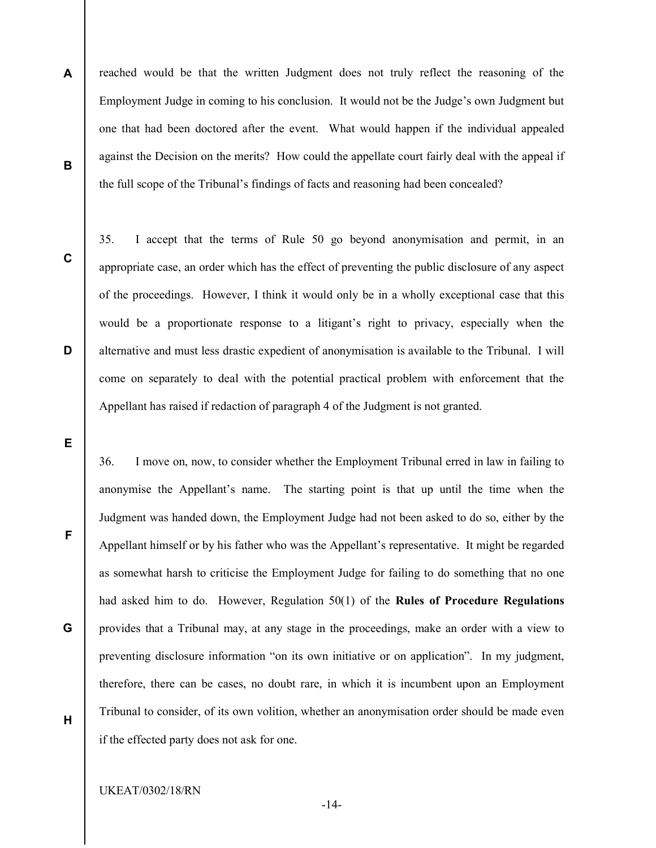- A B reached would be that the written Judgment does not truly reflect the reasoning of the Employment Judge in coming to his conclusion. It would not be the Judge's own Judgment but one that had been doctored after the event. What would happen if the individual appealed against the Decision on the merits? How could the appellate court fairly deal with the appeal if the full scope of the Tribunal's findings of facts and reasoning had been concealed?
- C

D

35. I accept that the terms of Rule 50 go beyond anonymisation and permit, in an appropriate case, an order which has the effect of preventing the public disclosure of any aspect of the proceedings. However, I think it would only be in a wholly exceptional case that this would be a proportionate response to a litigant's right to privacy, especially when the alternative and must less drastic expedient of anonymisation is available to the Tribunal. I will come on separately to deal with the potential practical problem with enforcement that the Appellant has raised if redaction of paragraph 4 of the Judgment is not granted.

E

F

36. I move on, now, to consider whether the Employment Tribunal erred in law in failing to anonymise the Appellant's name. The starting point is that up until the time when the Judgment was handed down, the Employment Judge had not been asked to do so, either by the Appellant himself or by his father who was the Appellant's representative. It might be regarded as somewhat harsh to criticise the Employment Judge for failing to do something that no one had asked him to do. However, Regulation 50(1) of the Rules of Procedure Regulations provides that a Tribunal may, at any stage in the proceedings, make an order with a view to preventing disclosure information "on its own initiative or on application". In my judgment, therefore, there can be cases, no doubt rare, in which it is incumbent upon an Employment Tribunal to consider, of its own volition, whether an anonymisation order should be made even if the effected party does not ask for one.

G

H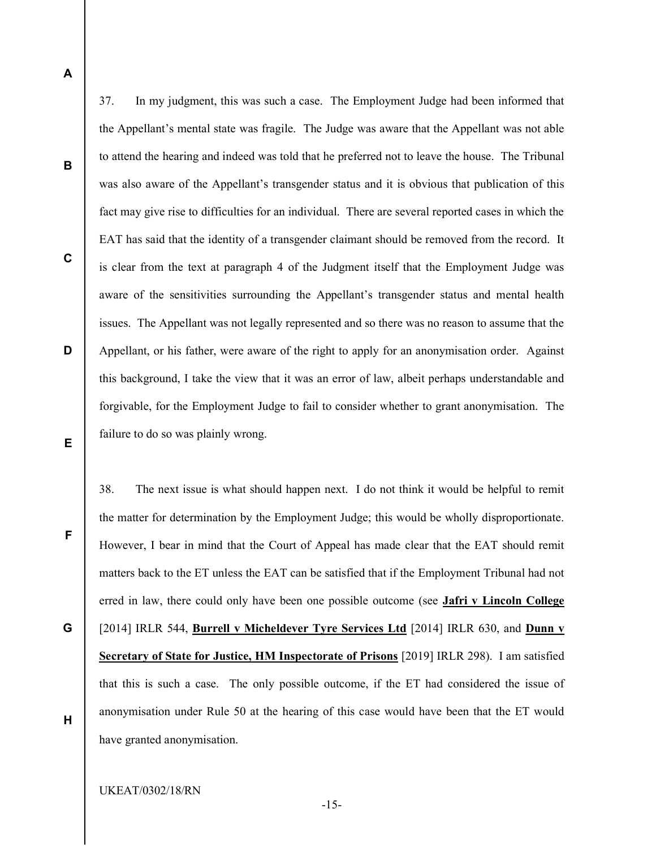A

B

C

D

E

the Appellant's mental state was fragile. The Judge was aware that the Appellant was not able to attend the hearing and indeed was told that he preferred not to leave the house. The Tribunal was also aware of the Appellant's transgender status and it is obvious that publication of this fact may give rise to difficulties for an individual. There are several reported cases in which the EAT has said that the identity of a transgender claimant should be removed from the record. It is clear from the text at paragraph 4 of the Judgment itself that the Employment Judge was aware of the sensitivities surrounding the Appellant's transgender status and mental health issues. The Appellant was not legally represented and so there was no reason to assume that the Appellant, or his father, were aware of the right to apply for an anonymisation order. Against this background, I take the view that it was an error of law, albeit perhaps understandable and forgivable, for the Employment Judge to fail to consider whether to grant anonymisation. The failure to do so was plainly wrong.

37. In my judgment, this was such a case. The Employment Judge had been informed that

38. The next issue is what should happen next. I do not think it would be helpful to remit the matter for determination by the Employment Judge; this would be wholly disproportionate. However, I bear in mind that the Court of Appeal has made clear that the EAT should remit matters back to the ET unless the EAT can be satisfied that if the Employment Tribunal had not erred in law, there could only have been one possible outcome (see **Jafri v Lincoln College**) [2014] IRLR 544, Burrell v Micheldever Tyre Services Ltd [2014] IRLR 630, and Dunn v Secretary of State for Justice, HM Inspectorate of Prisons [2019] IRLR 298). I am satisfied that this is such a case. The only possible outcome, if the ET had considered the issue of anonymisation under Rule 50 at the hearing of this case would have been that the ET would have granted anonymisation.

F

G

H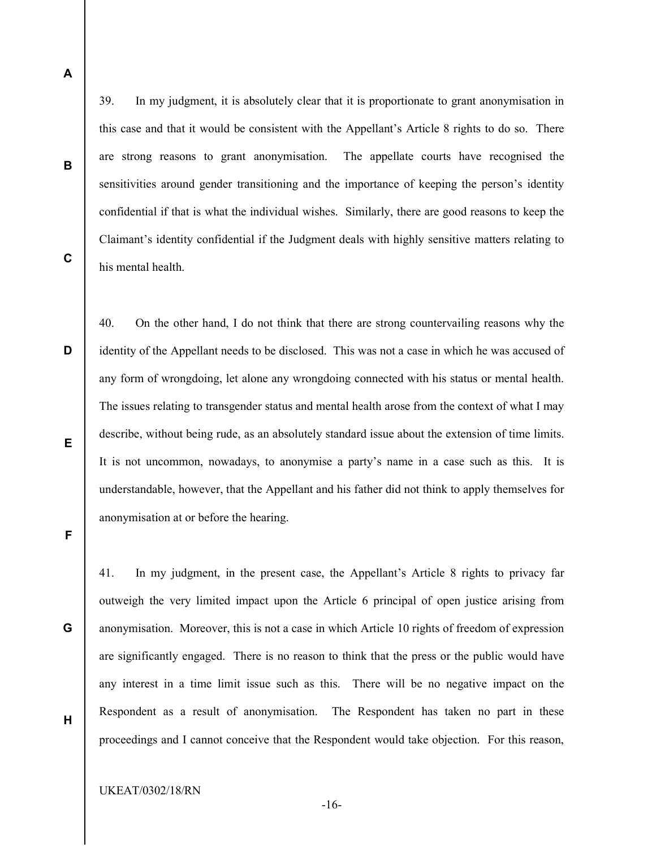A

B

C

D

39. In my judgment, it is absolutely clear that it is proportionate to grant anonymisation in this case and that it would be consistent with the Appellant's Article 8 rights to do so. There are strong reasons to grant anonymisation. The appellate courts have recognised the sensitivities around gender transitioning and the importance of keeping the person's identity confidential if that is what the individual wishes. Similarly, there are good reasons to keep the Claimant's identity confidential if the Judgment deals with highly sensitive matters relating to his mental health.

40. On the other hand, I do not think that there are strong countervailing reasons why the identity of the Appellant needs to be disclosed. This was not a case in which he was accused of any form of wrongdoing, let alone any wrongdoing connected with his status or mental health. The issues relating to transgender status and mental health arose from the context of what I may describe, without being rude, as an absolutely standard issue about the extension of time limits. It is not uncommon, nowadays, to anonymise a party's name in a case such as this. It is understandable, however, that the Appellant and his father did not think to apply themselves for anonymisation at or before the hearing.

E

F

G

41. In my judgment, in the present case, the Appellant's Article 8 rights to privacy far outweigh the very limited impact upon the Article 6 principal of open justice arising from anonymisation. Moreover, this is not a case in which Article 10 rights of freedom of expression are significantly engaged. There is no reason to think that the press or the public would have any interest in a time limit issue such as this. There will be no negative impact on the Respondent as a result of anonymisation. The Respondent has taken no part in these proceedings and I cannot conceive that the Respondent would take objection. For this reason,

H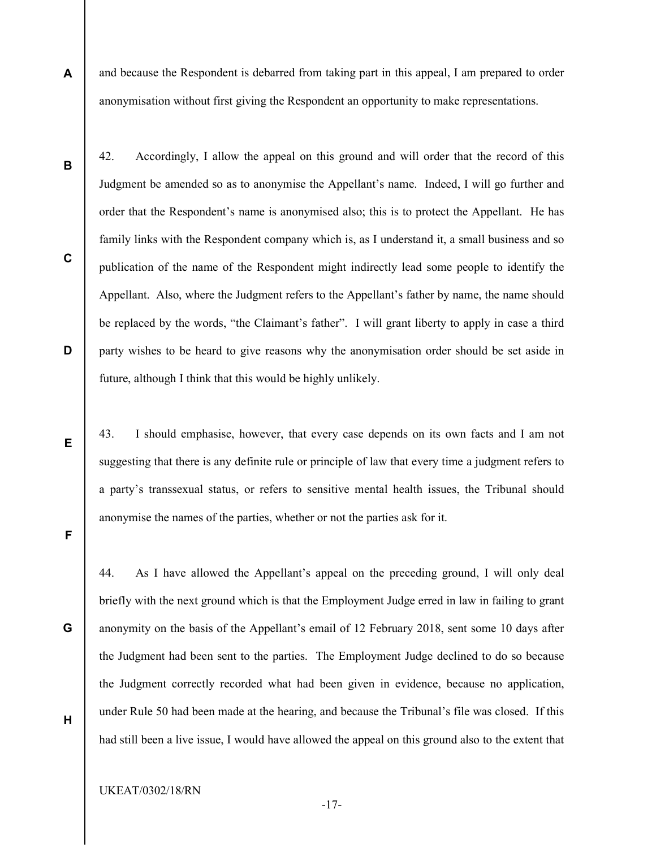- and because the Respondent is debarred from taking part in this appeal, I am prepared to order anonymisation without first giving the Respondent an opportunity to make representations.
- 42. Accordingly, I allow the appeal on this ground and will order that the record of this Judgment be amended so as to anonymise the Appellant's name. Indeed, I will go further and order that the Respondent's name is anonymised also; this is to protect the Appellant. He has family links with the Respondent company which is, as I understand it, a small business and so publication of the name of the Respondent might indirectly lead some people to identify the Appellant. Also, where the Judgment refers to the Appellant's father by name, the name should be replaced by the words, "the Claimant's father". I will grant liberty to apply in case a third party wishes to be heard to give reasons why the anonymisation order should be set aside in future, although I think that this would be highly unlikely.

43. I should emphasise, however, that every case depends on its own facts and I am not suggesting that there is any definite rule or principle of law that every time a judgment refers to a party's transsexual status, or refers to sensitive mental health issues, the Tribunal should anonymise the names of the parties, whether or not the parties ask for it.

F

A

B

C

D

E

G

H

44. As I have allowed the Appellant's appeal on the preceding ground, I will only deal briefly with the next ground which is that the Employment Judge erred in law in failing to grant anonymity on the basis of the Appellant's email of 12 February 2018, sent some 10 days after the Judgment had been sent to the parties. The Employment Judge declined to do so because the Judgment correctly recorded what had been given in evidence, because no application, under Rule 50 had been made at the hearing, and because the Tribunal's file was closed. If this had still been a live issue, I would have allowed the appeal on this ground also to the extent that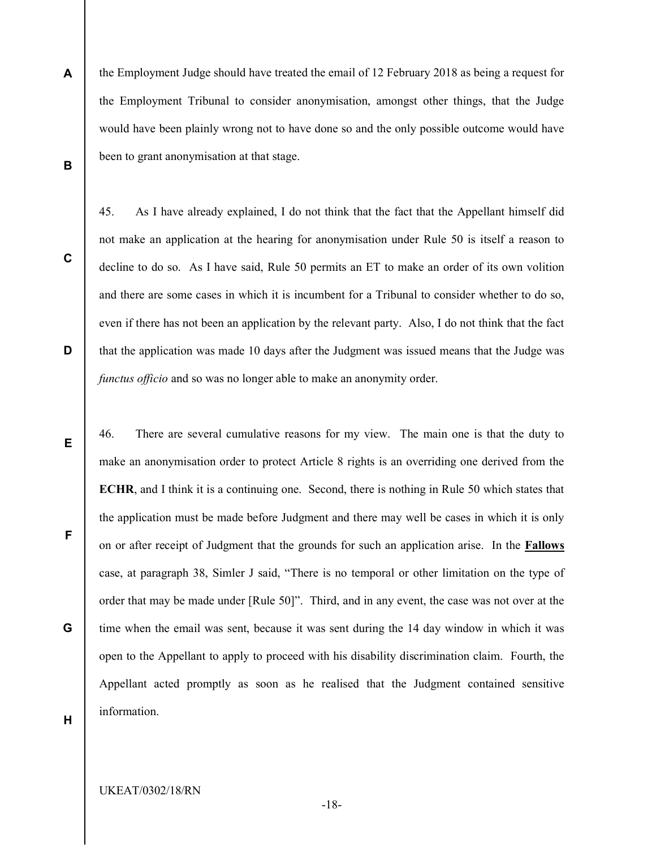- A B the Employment Judge should have treated the email of 12 February 2018 as being a request for the Employment Tribunal to consider anonymisation, amongst other things, that the Judge would have been plainly wrong not to have done so and the only possible outcome would have been to grant anonymisation at that stage.
- C

D

not make an application at the hearing for anonymisation under Rule 50 is itself a reason to decline to do so. As I have said, Rule 50 permits an ET to make an order of its own volition and there are some cases in which it is incumbent for a Tribunal to consider whether to do so, even if there has not been an application by the relevant party. Also, I do not think that the fact that the application was made 10 days after the Judgment was issued means that the Judge was functus officio and so was no longer able to make an anonymity order.

45. As I have already explained, I do not think that the fact that the Appellant himself did

46. There are several cumulative reasons for my view. The main one is that the duty to make an anonymisation order to protect Article 8 rights is an overriding one derived from the ECHR, and I think it is a continuing one. Second, there is nothing in Rule 50 which states that the application must be made before Judgment and there may well be cases in which it is only on or after receipt of Judgment that the grounds for such an application arise. In the Fallows case, at paragraph 38, Simler J said, "There is no temporal or other limitation on the type of order that may be made under [Rule 50]". Third, and in any event, the case was not over at the time when the email was sent, because it was sent during the 14 day window in which it was open to the Appellant to apply to proceed with his disability discrimination claim. Fourth, the Appellant acted promptly as soon as he realised that the Judgment contained sensitive information.

E

G

F

H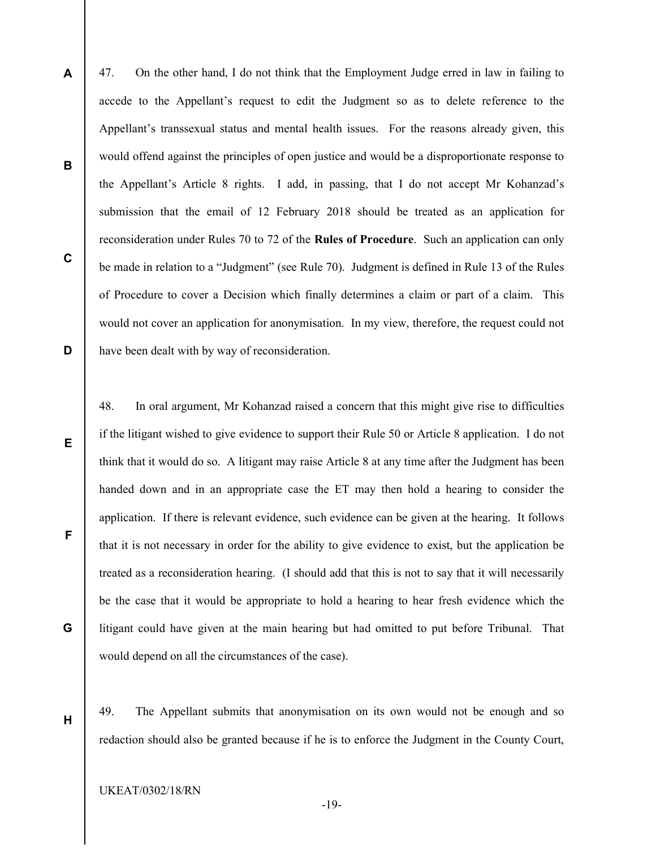47. On the other hand, I do not think that the Employment Judge erred in law in failing to accede to the Appellant's request to edit the Judgment so as to delete reference to the Appellant's transsexual status and mental health issues. For the reasons already given, this would offend against the principles of open justice and would be a disproportionate response to the Appellant's Article 8 rights. I add, in passing, that I do not accept Mr Kohanzad's submission that the email of 12 February 2018 should be treated as an application for reconsideration under Rules 70 to 72 of the Rules of Procedure. Such an application can only be made in relation to a "Judgment" (see Rule 70). Judgment is defined in Rule 13 of the Rules of Procedure to cover a Decision which finally determines a claim or part of a claim. This would not cover an application for anonymisation. In my view, therefore, the request could not have been dealt with by way of reconsideration.

48. In oral argument, Mr Kohanzad raised a concern that this might give rise to difficulties if the litigant wished to give evidence to support their Rule 50 or Article 8 application. I do not think that it would do so. A litigant may raise Article 8 at any time after the Judgment has been handed down and in an appropriate case the ET may then hold a hearing to consider the application. If there is relevant evidence, such evidence can be given at the hearing. It follows that it is not necessary in order for the ability to give evidence to exist, but the application be treated as a reconsideration hearing. (I should add that this is not to say that it will necessarily be the case that it would be appropriate to hold a hearing to hear fresh evidence which the litigant could have given at the main hearing but had omitted to put before Tribunal. That would depend on all the circumstances of the case).

49. The Appellant submits that anonymisation on its own would not be enough and so redaction should also be granted because if he is to enforce the Judgment in the County Court,

UKEAT/0302/18/RN

A

B

C

D

E

F

G

H

-19-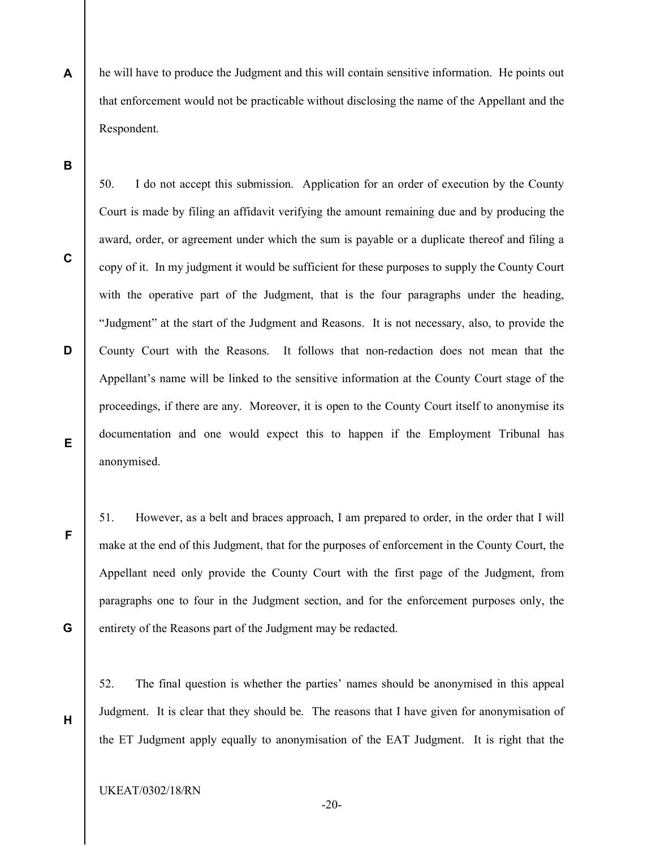A he will have to produce the Judgment and this will contain sensitive information. He points out that enforcement would not be practicable without disclosing the name of the Appellant and the Respondent.

B

C

D

E

F

G

H

50. I do not accept this submission. Application for an order of execution by the County Court is made by filing an affidavit verifying the amount remaining due and by producing the award, order, or agreement under which the sum is payable or a duplicate thereof and filing a copy of it. In my judgment it would be sufficient for these purposes to supply the County Court with the operative part of the Judgment, that is the four paragraphs under the heading, "Judgment" at the start of the Judgment and Reasons. It is not necessary, also, to provide the County Court with the Reasons. It follows that non-redaction does not mean that the Appellant's name will be linked to the sensitive information at the County Court stage of the proceedings, if there are any. Moreover, it is open to the County Court itself to anonymise its documentation and one would expect this to happen if the Employment Tribunal has anonymised.

51. However, as a belt and braces approach, I am prepared to order, in the order that I will make at the end of this Judgment, that for the purposes of enforcement in the County Court, the Appellant need only provide the County Court with the first page of the Judgment, from paragraphs one to four in the Judgment section, and for the enforcement purposes only, the entirety of the Reasons part of the Judgment may be redacted.

52. The final question is whether the parties' names should be anonymised in this appeal Judgment. It is clear that they should be. The reasons that I have given for anonymisation of the ET Judgment apply equally to anonymisation of the EAT Judgment. It is right that the

-20-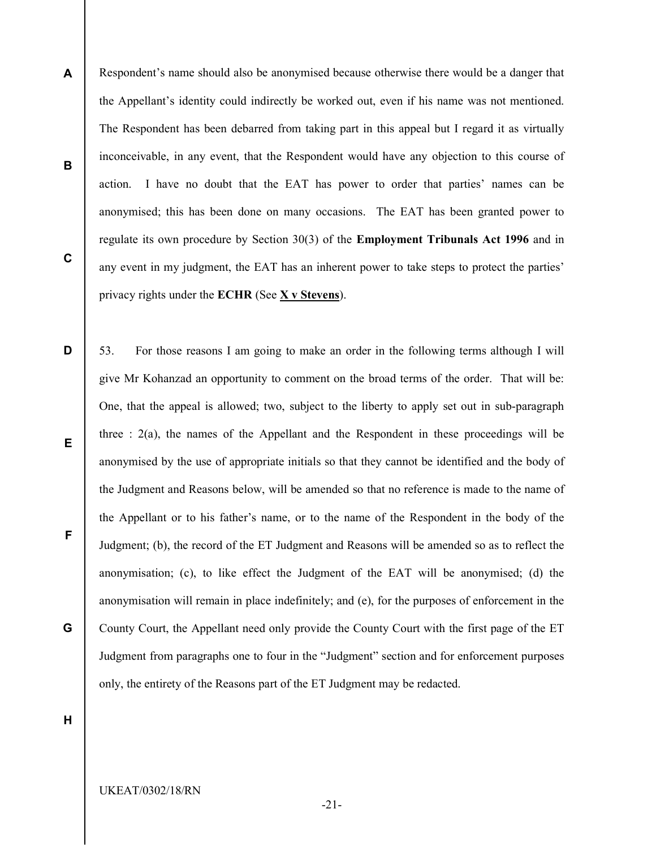- A B C Respondent's name should also be anonymised because otherwise there would be a danger that the Appellant's identity could indirectly be worked out, even if his name was not mentioned. The Respondent has been debarred from taking part in this appeal but I regard it as virtually inconceivable, in any event, that the Respondent would have any objection to this course of action. I have no doubt that the EAT has power to order that parties' names can be anonymised; this has been done on many occasions. The EAT has been granted power to regulate its own procedure by Section 30(3) of the Employment Tribunals Act 1996 and in any event in my judgment, the EAT has an inherent power to take steps to protect the parties' privacy rights under the ECHR (See X v Stevens).
- D E F G 53. For those reasons I am going to make an order in the following terms although I will give Mr Kohanzad an opportunity to comment on the broad terms of the order. That will be: One, that the appeal is allowed; two, subject to the liberty to apply set out in sub-paragraph three  $: 2(a)$ , the names of the Appellant and the Respondent in these proceedings will be anonymised by the use of appropriate initials so that they cannot be identified and the body of the Judgment and Reasons below, will be amended so that no reference is made to the name of the Appellant or to his father's name, or to the name of the Respondent in the body of the Judgment; (b), the record of the ET Judgment and Reasons will be amended so as to reflect the anonymisation; (c), to like effect the Judgment of the EAT will be anonymised; (d) the anonymisation will remain in place indefinitely; and (e), for the purposes of enforcement in the County Court, the Appellant need only provide the County Court with the first page of the ET Judgment from paragraphs one to four in the "Judgment" section and for enforcement purposes only, the entirety of the Reasons part of the ET Judgment may be redacted.

H

UKEAT/0302/18/RN

-21-